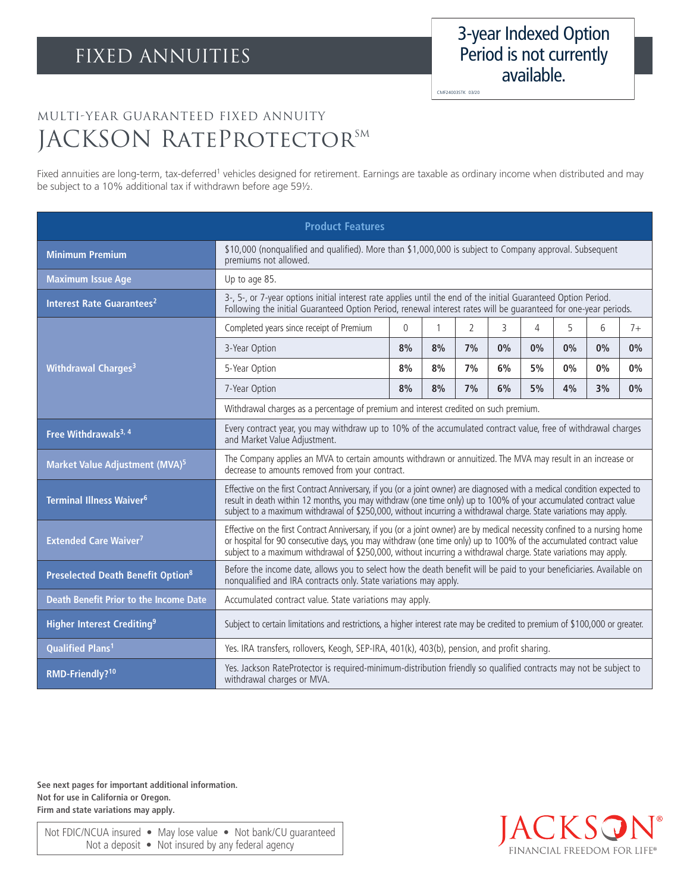# 3-year Indexed Option Period is not currently available.

CMF24003STK 03/20

# Multi-Year Guaranteed Fixed Annuity JACKSON RATEPROTECTORSM

Fixed annuities are long-term, tax-deferred<sup>1</sup> vehicles designed for retirement. Earnings are taxable as ordinary income when distributed and may be subject to a 10% additional tax if withdrawn before age 59½.

| <b>Product Features</b>                       |                                                                                                                                                                                                                                                                                                                                                                      |          |              |                |    |    |    |    |      |
|-----------------------------------------------|----------------------------------------------------------------------------------------------------------------------------------------------------------------------------------------------------------------------------------------------------------------------------------------------------------------------------------------------------------------------|----------|--------------|----------------|----|----|----|----|------|
| <b>Minimum Premium</b>                        | \$10,000 (nonqualified and qualified). More than \$1,000,000 is subject to Company approval. Subsequent<br>premiums not allowed.                                                                                                                                                                                                                                     |          |              |                |    |    |    |    |      |
| <b>Maximum Issue Age</b>                      | Up to age 85.                                                                                                                                                                                                                                                                                                                                                        |          |              |                |    |    |    |    |      |
| Interest Rate Guarantees <sup>2</sup>         | 3-, 5-, or 7-year options initial interest rate applies until the end of the initial Guaranteed Option Period.<br>Following the initial Guaranteed Option Period, renewal interest rates will be guaranteed for one-year periods.                                                                                                                                    |          |              |                |    |    |    |    |      |
| <b>Withdrawal Charges<sup>3</sup></b>         | Completed years since receipt of Premium                                                                                                                                                                                                                                                                                                                             | $\theta$ | $\mathbf{1}$ | $\overline{2}$ | 3  | 4  | 5  | 6  | $7+$ |
|                                               | 3-Year Option                                                                                                                                                                                                                                                                                                                                                        | 8%       | 8%           | 7%             | 0% | 0% | 0% | 0% | 0%   |
|                                               | 5-Year Option                                                                                                                                                                                                                                                                                                                                                        | 8%       | 8%           | 7%             | 6% | 5% | 0% | 0% | 0%   |
|                                               | 7-Year Option                                                                                                                                                                                                                                                                                                                                                        | 8%       | 8%           | 7%             | 6% | 5% | 4% | 3% | 0%   |
|                                               | Withdrawal charges as a percentage of premium and interest credited on such premium.                                                                                                                                                                                                                                                                                 |          |              |                |    |    |    |    |      |
| Free Withdrawals <sup>3, 4</sup>              | Every contract year, you may withdraw up to 10% of the accumulated contract value, free of withdrawal charges<br>and Market Value Adjustment.                                                                                                                                                                                                                        |          |              |                |    |    |    |    |      |
| Market Value Adjustment (MVA) <sup>5</sup>    | The Company applies an MVA to certain amounts withdrawn or annuitized. The MVA may result in an increase or<br>decrease to amounts removed from your contract.                                                                                                                                                                                                       |          |              |                |    |    |    |    |      |
| <b>Terminal Illness Waiver<sup>6</sup></b>    | Effective on the first Contract Anniversary, if you (or a joint owner) are diagnosed with a medical condition expected to<br>result in death within 12 months, you may withdraw (one time only) up to 100% of your accumulated contract value<br>subject to a maximum withdrawal of \$250,000, without incurring a withdrawal charge. State variations may apply.    |          |              |                |    |    |    |    |      |
| <b>Extended Care Waiver<sup>7</sup></b>       | Effective on the first Contract Anniversary, if you (or a joint owner) are by medical necessity confined to a nursing home<br>or hospital for 90 consecutive days, you may withdraw (one time only) up to 100% of the accumulated contract value<br>subject to a maximum withdrawal of \$250,000, without incurring a withdrawal charge. State variations may apply. |          |              |                |    |    |    |    |      |
| <b>Preselected Death Benefit Option8</b>      | Before the income date, allows you to select how the death benefit will be paid to your beneficiaries. Available on<br>nonqualified and IRA contracts only. State variations may apply.                                                                                                                                                                              |          |              |                |    |    |    |    |      |
| <b>Death Benefit Prior to the Income Date</b> | Accumulated contract value. State variations may apply.                                                                                                                                                                                                                                                                                                              |          |              |                |    |    |    |    |      |
| <b>Higher Interest Crediting<sup>9</sup></b>  | Subject to certain limitations and restrictions, a higher interest rate may be credited to premium of \$100,000 or greater.                                                                                                                                                                                                                                          |          |              |                |    |    |    |    |      |
| <b>Qualified Plans<sup>1</sup></b>            | Yes. IRA transfers, rollovers, Keogh, SEP-IRA, 401(k), 403(b), pension, and profit sharing.                                                                                                                                                                                                                                                                          |          |              |                |    |    |    |    |      |
| RMD-Friendly? <sup>10</sup>                   | Yes. Jackson RateProtector is required-minimum-distribution friendly so qualified contracts may not be subject to<br>withdrawal charges or MVA.                                                                                                                                                                                                                      |          |              |                |    |    |    |    |      |

**See next pages for important additional information. Not for use in California or Oregon. Firm and state variations may apply.**

Not FDIC/NCUA insured • May lose value • Not bank/CU guaranteed Not a deposit • Not insured by any federal agency

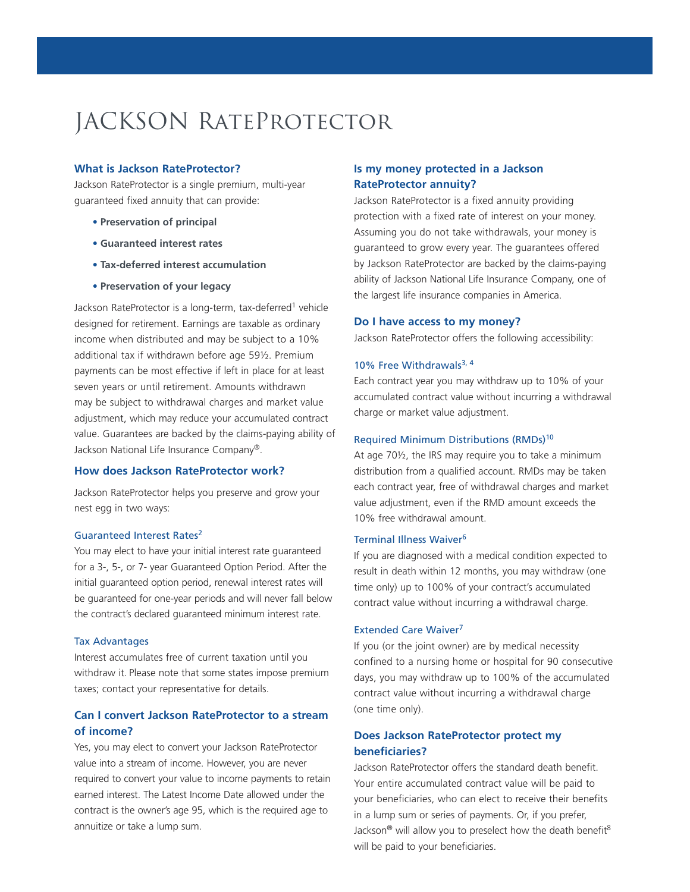# JACKSON RateProtector

#### **What is Jackson RateProtector?**

Jackson RateProtector is a single premium, multi-year guaranteed fixed annuity that can provide:

- **• Preservation of principal**
- **• Guaranteed interest rates**
- **• Tax-deferred interest accumulation**
- **• Preservation of your legacy**

Jackson RateProtector is a long-term, tax-deferred<sup>1</sup> vehicle designed for retirement. Earnings are taxable as ordinary income when distributed and may be subject to a 10% additional tax if withdrawn before age 59½. Premium payments can be most effective if left in place for at least seven years or until retirement. Amounts withdrawn may be subject to withdrawal charges and market value adjustment, which may reduce your accumulated contract value. Guarantees are backed by the claims-paying ability of Jackson National Life Insurance Company®.

#### **How does Jackson RateProtector work?**

Jackson RateProtector helps you preserve and grow your nest egg in two ways:

#### Guaranteed Interest Rates2

You may elect to have your initial interest rate guaranteed for a 3-, 5-, or 7- year Guaranteed Option Period. After the initial guaranteed option period, renewal interest rates will be guaranteed for one-year periods and will never fall below the contract's declared guaranteed minimum interest rate.

#### Tax Advantages

Interest accumulates free of current taxation until you withdraw it. Please note that some states impose premium taxes; contact your representative for details.

### **Can I convert Jackson RateProtector to a stream of income?**

Yes, you may elect to convert your Jackson RateProtector value into a stream of income. However, you are never required to convert your value to income payments to retain earned interest. The Latest Income Date allowed under the contract is the owner's age 95, which is the required age to annuitize or take a lump sum.

## **Is my money protected in a Jackson RateProtector annuity?**

Jackson RateProtector is a fixed annuity providing protection with a fixed rate of interest on your money. Assuming you do not take withdrawals, your money is guaranteed to grow every year. The guarantees offered by Jackson RateProtector are backed by the claims-paying ability of Jackson National Life Insurance Company, one of the largest life insurance companies in America.

#### **Do I have access to my money?**

Jackson RateProtector offers the following accessibility:

#### 10% Free Withdrawals<sup>3, 4</sup>

Each contract year you may withdraw up to 10% of your accumulated contract value without incurring a withdrawal charge or market value adjustment.

#### Required Minimum Distributions (RMDs)10

At age 70½, the IRS may require you to take a minimum distribution from a qualified account. RMDs may be taken each contract year, free of withdrawal charges and market value adjustment, even if the RMD amount exceeds the 10% free withdrawal amount.

#### Terminal Illness Waiver<sup>6</sup>

If you are diagnosed with a medical condition expected to result in death within 12 months, you may withdraw (one time only) up to 100% of your contract's accumulated contract value without incurring a withdrawal charge.

#### Extended Care Waiver7

If you (or the joint owner) are by medical necessity confined to a nursing home or hospital for 90 consecutive days, you may withdraw up to 100% of the accumulated contract value without incurring a withdrawal charge (one time only).

## **Does Jackson RateProtector protect my beneficiaries?**

Jackson RateProtector offers the standard death benefit. Your entire accumulated contract value will be paid to your beneficiaries, who can elect to receive their benefits in a lump sum or series of payments. Or, if you prefer, Jackson<sup>®</sup> will allow you to preselect how the death benefit<sup>8</sup> will be paid to your beneficiaries.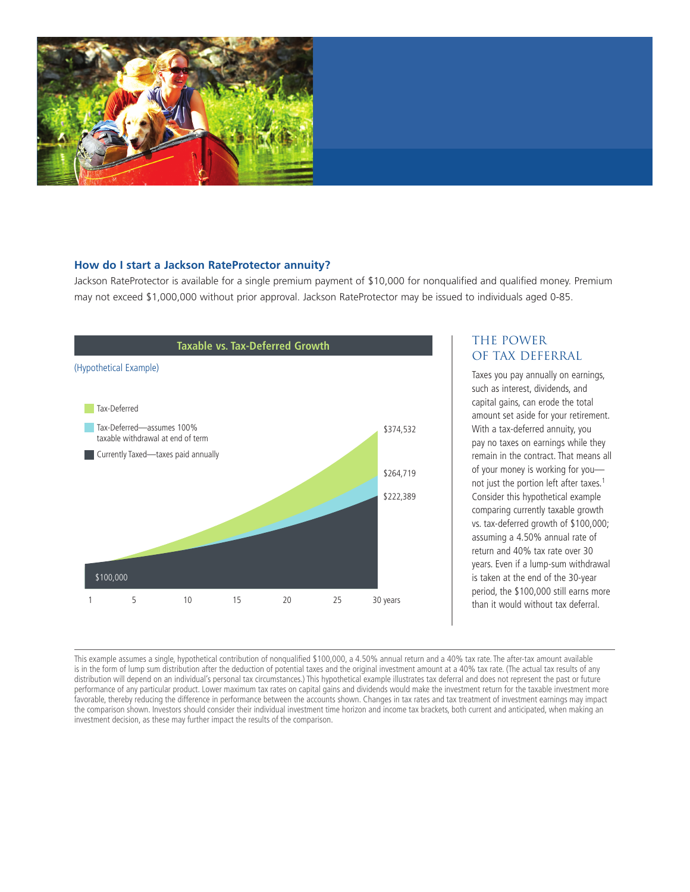

#### **How do I start a Jackson RateProtector annuity?**

Jackson RateProtector is available for a single premium payment of \$10,000 for nonqualified and qualified money. Premium may not exceed \$1,000,000 without prior approval. Jackson RateProtector may be issued to individuals aged 0-85.



# The Power of Tax deferral

Taxes you pay annually on earnings, such as interest, dividends, and capital gains, can erode the total amount set aside for your retirement. With a tax-deferred annuity, you pay no taxes on earnings while they remain in the contract. That means all of your money is working for you not just the portion left after taxes.1 Consider this hypothetical example comparing currently taxable growth vs. tax-deferred growth of \$100,000; assuming a 4.50% annual rate of return and 40% tax rate over 30 years. Even if a lump-sum withdrawal is taken at the end of the 30-year period, the \$100,000 still earns more than it would without tax deferral.

This example assumes a single, hypothetical contribution of nonqualified \$100,000, a 4.50% annual return and a 40% tax rate. The after-tax amount available is in the form of lump sum distribution after the deduction of potential taxes and the original investment amount at a 40% tax rate. (The actual tax results of any distribution will depend on an individual's personal tax circumstances.) This hypothetical example illustrates tax deferral and does not represent the past or future performance of any particular product. Lower maximum tax rates on capital gains and dividends would make the investment return for the taxable investment more favorable, thereby reducing the difference in performance between the accounts shown. Changes in tax rates and tax treatment of investment earnings may impact the comparison shown. Investors should consider their individual investment time horizon and income tax brackets, both current and anticipated, when making an investment decision, as these may further impact the results of the comparison.